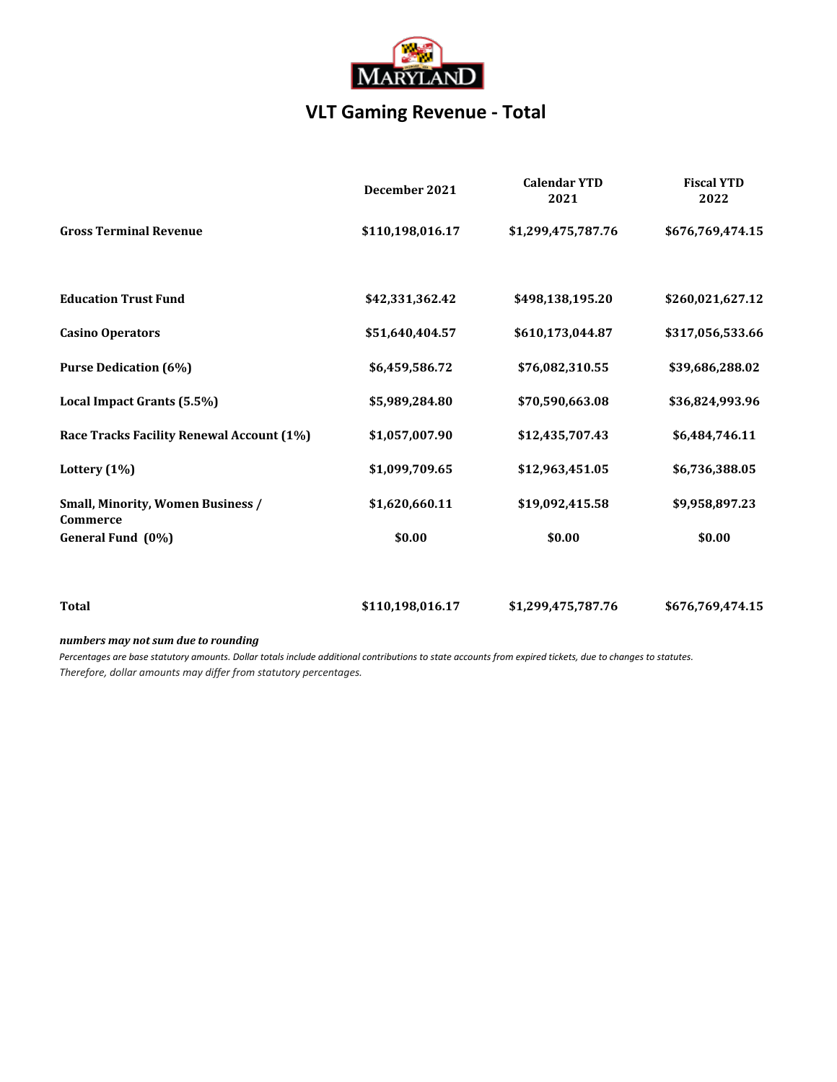

## **VLT Gaming Revenue - Total**

|                                                             | December 2021    | <b>Calendar YTD</b><br>2021 | <b>Fiscal YTD</b><br>2022 |
|-------------------------------------------------------------|------------------|-----------------------------|---------------------------|
| <b>Gross Terminal Revenue</b>                               | \$110,198,016.17 | \$1,299,475,787.76          | \$676,769,474.15          |
| <b>Education Trust Fund</b>                                 | \$42,331,362.42  | \$498,138,195.20            | \$260,021,627.12          |
| <b>Casino Operators</b>                                     | \$51,640,404.57  | \$610,173,044.87            | \$317,056,533.66          |
| <b>Purse Dedication (6%)</b>                                | \$6,459,586.72   | \$76,082,310.55             | \$39,686,288.02           |
| Local Impact Grants (5.5%)                                  | \$5,989,284.80   | \$70,590,663.08             | \$36,824,993.96           |
| Race Tracks Facility Renewal Account (1%)                   | \$1,057,007.90   | \$12,435,707.43             | \$6,484,746.11            |
| Lottery (1%)                                                | \$1,099,709.65   | \$12,963,451.05             | \$6,736,388.05            |
| <b>Small, Minority, Women Business /</b><br><b>Commerce</b> | \$1,620,660.11   | \$19,092,415.58             | \$9,958,897.23            |
| General Fund (0%)                                           | \$0.00           | \$0.00                      | \$0.00                    |
| <b>Total</b>                                                | \$110,198,016.17 | \$1,299,475,787.76          | \$676,769,474.15          |

*numbers may not sum due to rounding*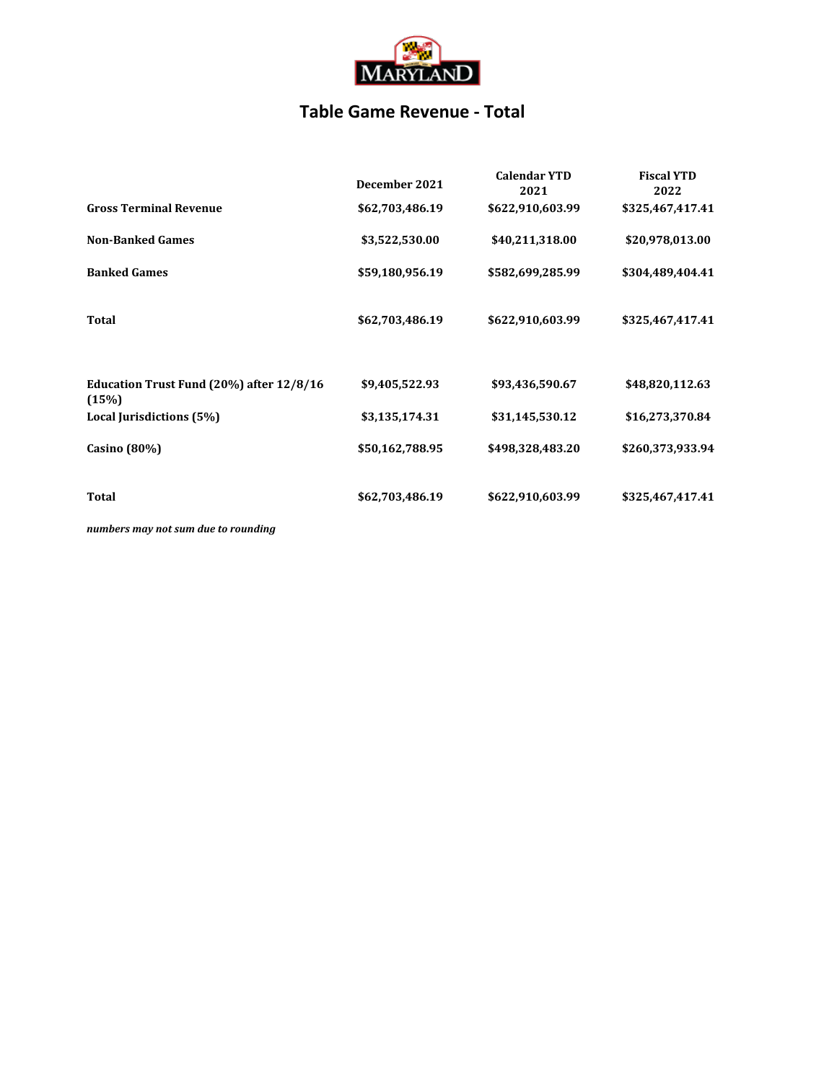

### **Table Game Revenue - Total**

|                                                   | December 2021   | <b>Calendar YTD</b><br>2021 | <b>Fiscal YTD</b><br>2022 |
|---------------------------------------------------|-----------------|-----------------------------|---------------------------|
| <b>Gross Terminal Revenue</b>                     | \$62,703,486.19 | \$622,910,603.99            | \$325,467,417.41          |
| <b>Non-Banked Games</b>                           | \$3,522,530.00  | \$40,211,318.00             | \$20,978,013.00           |
| <b>Banked Games</b>                               | \$59,180,956.19 | \$582,699,285.99            | \$304,489,404.41          |
| Total                                             | \$62,703,486.19 | \$622,910,603.99            | \$325,467,417.41          |
| Education Trust Fund (20%) after 12/8/16<br>(15%) | \$9,405,522.93  | \$93,436,590.67             | \$48,820,112.63           |
| Local Jurisdictions (5%)                          | \$3,135,174.31  | \$31,145,530.12             | \$16,273,370.84           |
| Casino (80%)                                      | \$50,162,788.95 | \$498,328,483.20            | \$260,373,933.94          |
| <b>Total</b>                                      | \$62,703,486.19 | \$622,910,603.99            | \$325,467,417.41          |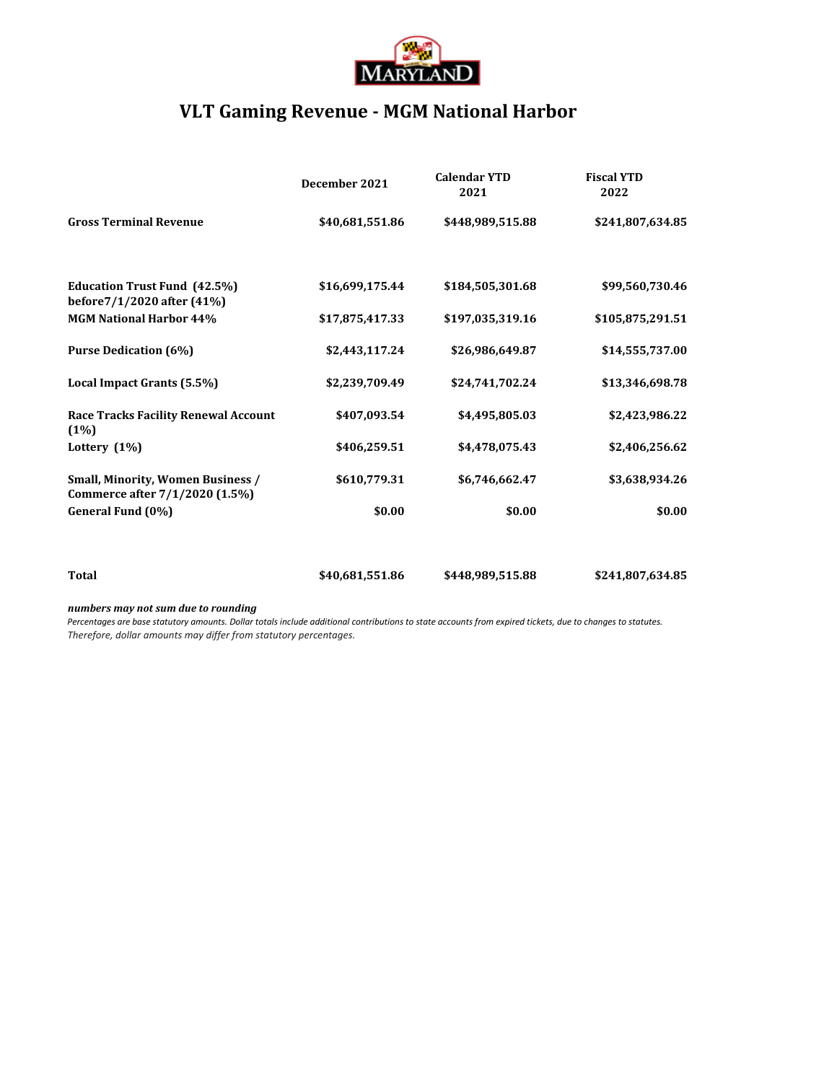

## **VLT Gaming Revenue - MGM National Harbor**

|                                                                            | December 2021   | <b>Calendar YTD</b><br>2021 | <b>Fiscal YTD</b><br>2022 |
|----------------------------------------------------------------------------|-----------------|-----------------------------|---------------------------|
| <b>Gross Terminal Revenue</b>                                              | \$40,681,551.86 | \$448,989,515.88            | \$241,807,634.85          |
| <b>Education Trust Fund (42.5%)</b><br>before7/1/2020 after (41%)          | \$16,699,175.44 | \$184,505,301.68            | \$99,560,730.46           |
| <b>MGM National Harbor 44%</b>                                             | \$17,875,417.33 | \$197,035,319.16            | \$105,875,291.51          |
| <b>Purse Dedication (6%)</b>                                               | \$2,443,117.24  | \$26,986,649.87             | \$14,555,737.00           |
| Local Impact Grants (5.5%)                                                 | \$2,239,709.49  | \$24,741,702.24             | \$13,346,698.78           |
| <b>Race Tracks Facility Renewal Account</b><br>(1%)                        | \$407,093.54    | \$4,495,805.03              | \$2,423,986.22            |
| Lottery $(1%)$                                                             | \$406,259.51    | \$4,478,075.43              | \$2,406,256.62            |
| <b>Small, Minority, Women Business /</b><br>Commerce after 7/1/2020 (1.5%) | \$610,779.31    | \$6,746,662.47              | \$3,638,934.26            |
| General Fund (0%)                                                          | \$0.00          | \$0.00                      | \$0.00                    |
|                                                                            |                 |                             |                           |
| <b>Total</b>                                                               | \$40,681,551.86 | \$448,989,515.88            | \$241,807,634.85          |

### *numbers may not sum due to rounding*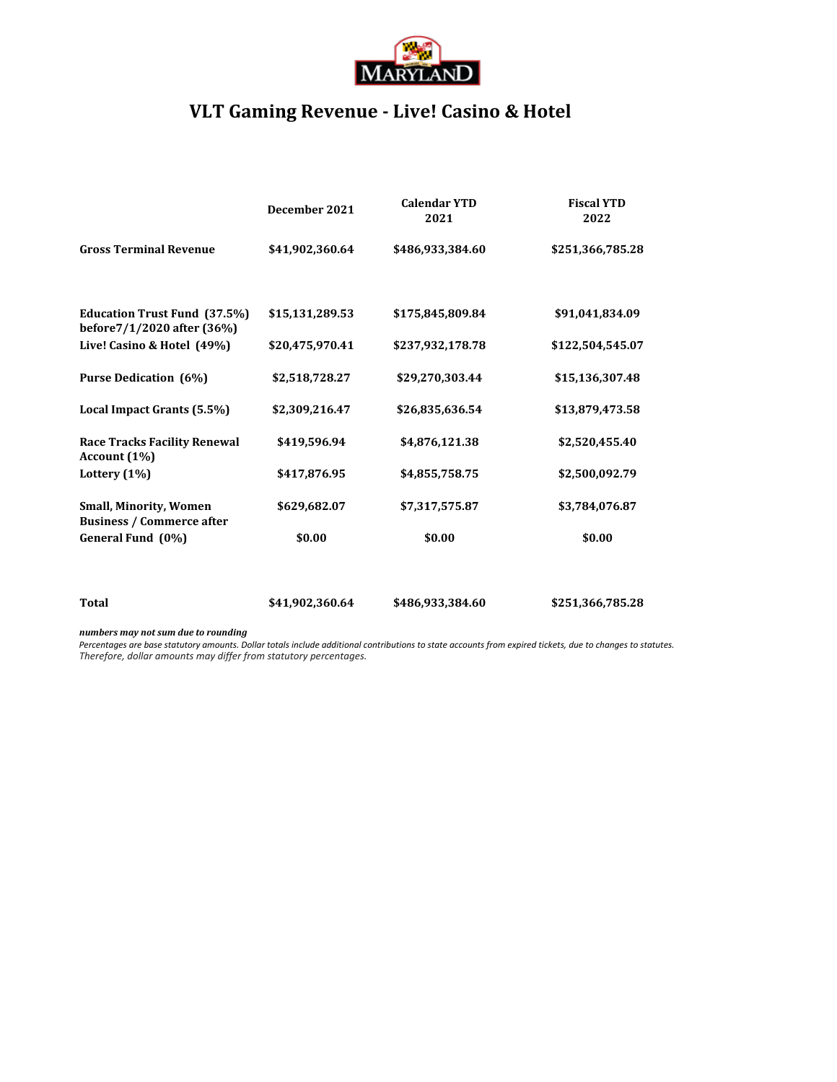

## **VLT Gaming Revenue - Live! Casino & Hotel**

|                                                                   | December 2021   | <b>Calendar YTD</b><br>2021 | <b>Fiscal YTD</b><br>2022 |
|-------------------------------------------------------------------|-----------------|-----------------------------|---------------------------|
| <b>Gross Terminal Revenue</b>                                     | \$41,902,360.64 | \$486,933,384.60            | \$251,366,785.28          |
|                                                                   |                 |                             |                           |
| <b>Education Trust Fund (37.5%)</b><br>before7/1/2020 after (36%) | \$15,131,289.53 | \$175,845,809.84            | \$91,041,834.09           |
| Live! Casino & Hotel (49%)                                        | \$20,475,970.41 | \$237,932,178.78            | \$122,504,545.07          |
| <b>Purse Dedication (6%)</b>                                      | \$2,518,728.27  | \$29,270,303.44             | \$15,136,307.48           |
| Local Impact Grants (5.5%)                                        | \$2,309,216.47  | \$26,835,636.54             | \$13,879,473.58           |
| <b>Race Tracks Facility Renewal</b><br>Account (1%)               | \$419,596.94    | \$4,876,121.38              | \$2,520,455.40            |
| Lottery $(1%)$                                                    | \$417,876.95    | \$4,855,758.75              | \$2,500,092.79            |
| <b>Small, Minority, Women</b><br><b>Business / Commerce after</b> | \$629,682.07    | \$7,317,575.87              | \$3,784,076.87            |
| General Fund (0%)                                                 | \$0.00          | \$0.00                      | \$0.00                    |
|                                                                   |                 |                             |                           |
| Total                                                             | \$41,902,360.64 | \$486,933,384.60            | \$251,366,785.28          |

#### *numbers may not sum due to rounding*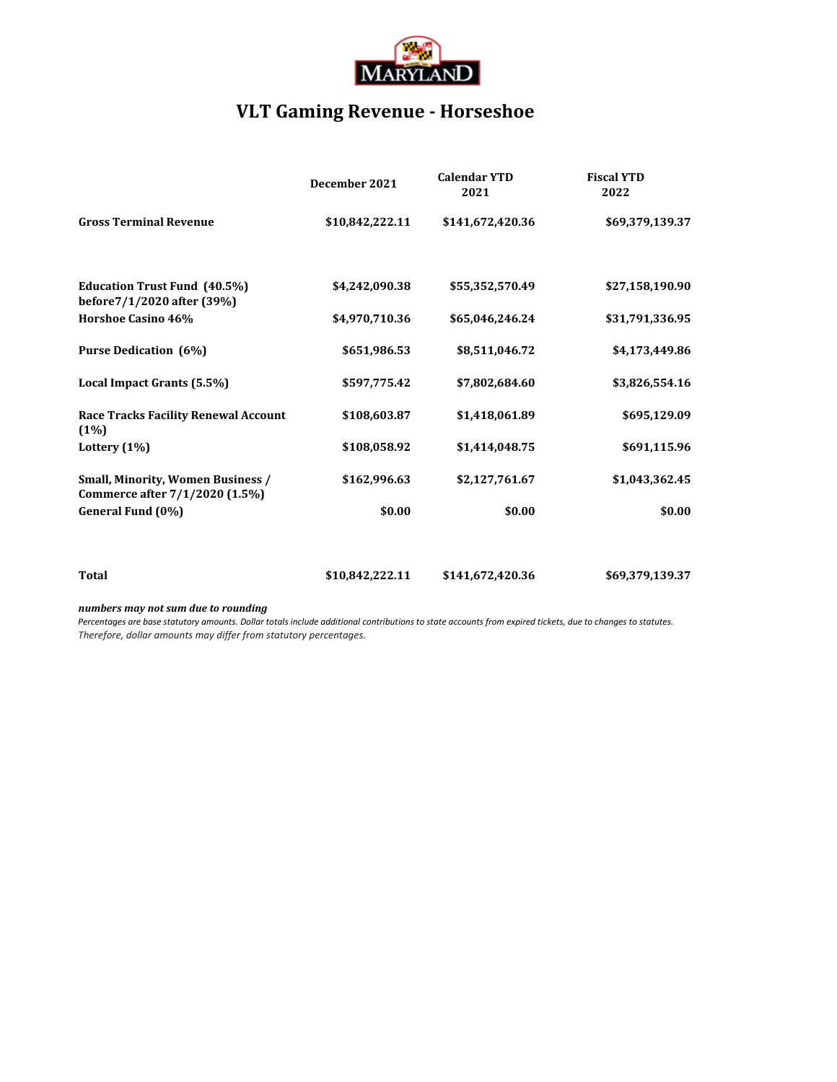

# **VLT Gaming Revenue - Horseshoe**

|                                                                            | December 2021   | <b>Calendar YTD</b><br>2021 | <b>Fiscal YTD</b><br>2022 |
|----------------------------------------------------------------------------|-----------------|-----------------------------|---------------------------|
| <b>Gross Terminal Revenue</b>                                              | \$10,842,222.11 | \$141,672,420.36            | \$69,379,139.37           |
| <b>Education Trust Fund (40.5%)</b><br>before7/1/2020 after (39%)          | \$4,242,090.38  | \$55,352,570.49             | \$27,158,190.90           |
| <b>Horshoe Casino 46%</b>                                                  | \$4,970,710.36  | \$65,046,246.24             | \$31,791,336.95           |
| <b>Purse Dedication (6%)</b>                                               | \$651,986.53    | \$8,511,046.72              | \$4,173,449.86            |
| Local Impact Grants (5.5%)                                                 | \$597,775.42    | \$7,802,684.60              | \$3,826,554.16            |
| <b>Race Tracks Facility Renewal Account</b><br>(1%)                        | \$108,603.87    | \$1,418,061.89              | \$695,129.09              |
| Lottery $(1%)$                                                             | \$108,058.92    | \$1,414,048.75              | \$691,115.96              |
| <b>Small, Minority, Women Business /</b><br>Commerce after 7/1/2020 (1.5%) | \$162,996.63    | \$2,127,761.67              | \$1,043,362.45            |
| General Fund (0%)                                                          | \$0.00          | \$0.00                      | \$0.00                    |
|                                                                            |                 |                             |                           |
| <b>Total</b>                                                               | \$10,842,222.11 | \$141,672,420.36            | \$69,379,139.37           |

### *numbers may not sum due to rounding*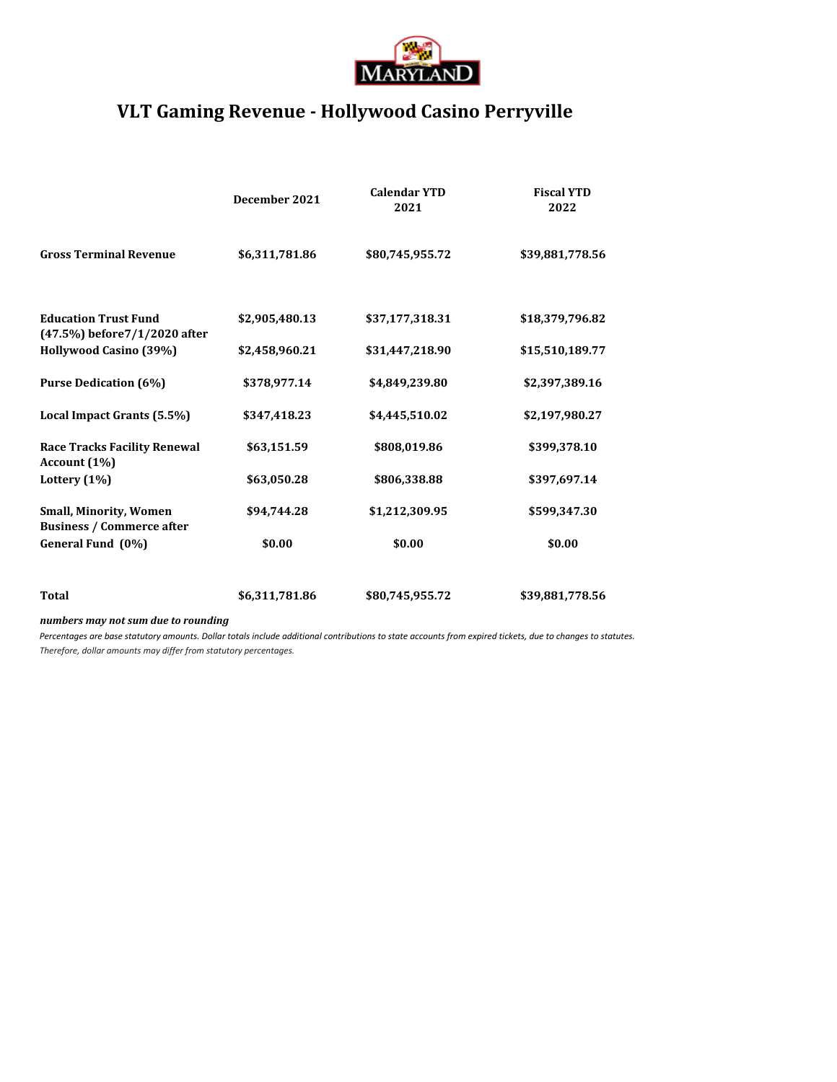

## **VLT Gaming Revenue - Hollywood Casino Perryville**

|                                                                   | December 2021  | <b>Calendar YTD</b><br>2021 | <b>Fiscal YTD</b><br>2022 |
|-------------------------------------------------------------------|----------------|-----------------------------|---------------------------|
| <b>Gross Terminal Revenue</b>                                     | \$6,311,781.86 | \$80,745,955.72             | \$39,881,778.56           |
| <b>Education Trust Fund</b><br>(47.5%) before 7/1/2020 after      | \$2,905,480.13 | \$37,177,318.31             | \$18,379,796.82           |
| Hollywood Casino (39%)                                            | \$2,458,960.21 | \$31,447,218.90             | \$15,510,189.77           |
| <b>Purse Dedication (6%)</b>                                      | \$378,977.14   | \$4,849,239.80              | \$2,397,389.16            |
| Local Impact Grants (5.5%)                                        | \$347,418.23   | \$4,445,510.02              | \$2,197,980.27            |
| <b>Race Tracks Facility Renewal</b><br>Account (1%)               | \$63,151.59    | \$808,019.86                | \$399,378.10              |
| Lottery $(1%)$                                                    | \$63,050.28    | \$806,338.88                | \$397,697.14              |
| <b>Small, Minority, Women</b><br><b>Business / Commerce after</b> | \$94,744.28    | \$1,212,309.95              | \$599,347.30              |
| General Fund (0%)                                                 | \$0.00         | \$0.00                      | \$0.00                    |
|                                                                   |                |                             |                           |
| <b>Total</b>                                                      | \$6,311,781.86 | \$80,745,955.72             | \$39,881,778.56           |

*numbers may not sum due to rounding*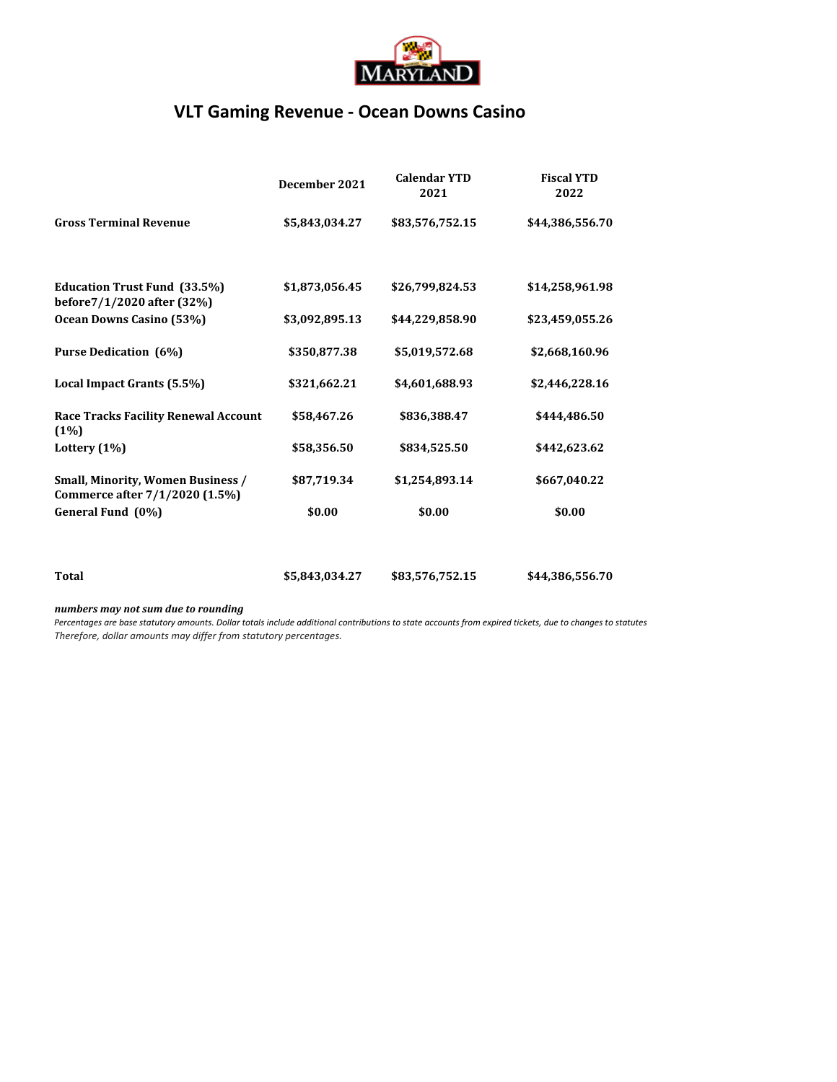

### **VLT Gaming Revenue - Ocean Downs Casino**

|                                                                            | December 2021  | <b>Calendar YTD</b><br>2021 | <b>Fiscal YTD</b><br>2022 |
|----------------------------------------------------------------------------|----------------|-----------------------------|---------------------------|
| <b>Gross Terminal Revenue</b>                                              | \$5,843,034.27 | \$83,576,752.15             | \$44,386,556.70           |
|                                                                            |                |                             |                           |
| <b>Education Trust Fund (33.5%)</b><br>before7/1/2020 after (32%)          | \$1,873,056.45 | \$26,799,824.53             | \$14,258,961.98           |
| Ocean Downs Casino (53%)                                                   | \$3,092,895.13 | \$44,229,858.90             | \$23,459,055.26           |
| <b>Purse Dedication (6%)</b>                                               | \$350,877.38   | \$5,019,572.68              | \$2,668,160.96            |
| Local Impact Grants (5.5%)                                                 | \$321,662.21   | \$4,601,688.93              | \$2,446,228.16            |
| <b>Race Tracks Facility Renewal Account</b><br>(1%)                        | \$58,467.26    | \$836,388.47                | \$444,486.50              |
| Lottery $(1%)$                                                             | \$58,356.50    | \$834,525.50                | \$442,623.62              |
| <b>Small, Minority, Women Business /</b><br>Commerce after 7/1/2020 (1.5%) | \$87,719.34    | \$1,254,893.14              | \$667,040.22              |
| General Fund (0%)                                                          | \$0.00         | \$0.00                      | \$0.00                    |
|                                                                            |                |                             |                           |
| Total                                                                      | \$5,843,034.27 | \$83,576,752.15             | \$44,386,556.70           |

### *numbers may not sum due to rounding*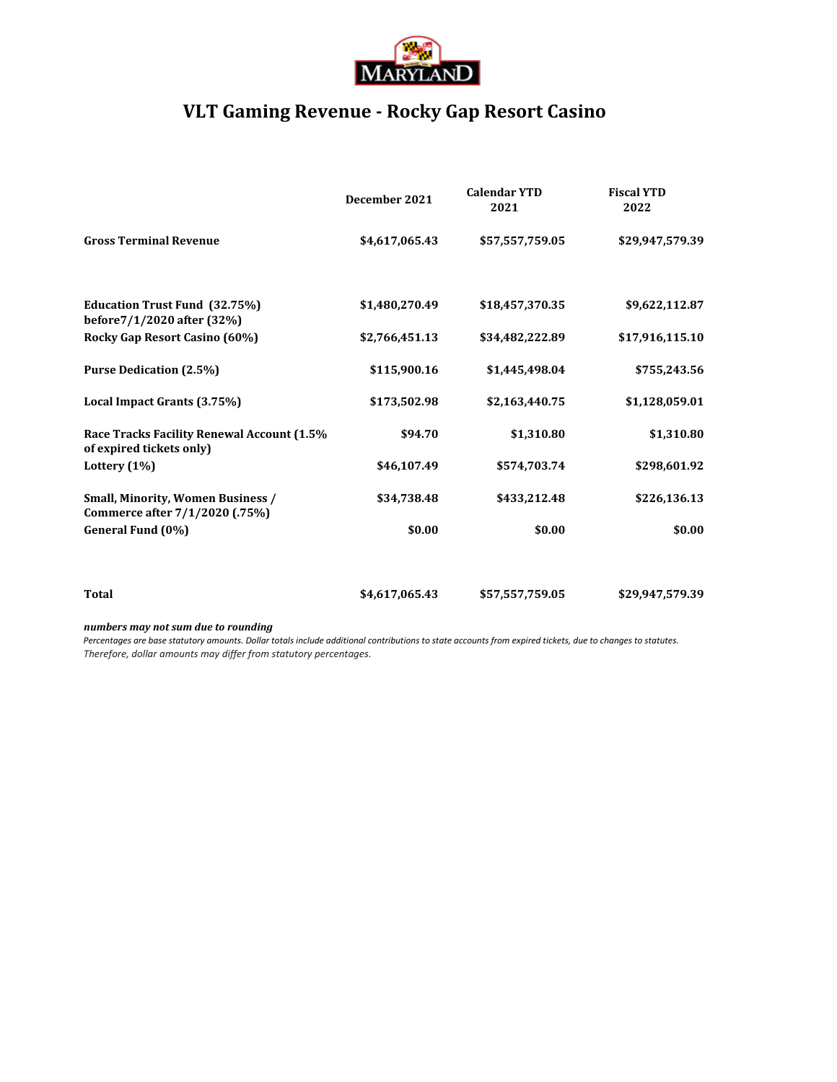

## **VLT Gaming Revenue - Rocky Gap Resort Casino**

|                                                                            | December 2021  | <b>Calendar YTD</b><br>2021 | <b>Fiscal YTD</b><br>2022 |
|----------------------------------------------------------------------------|----------------|-----------------------------|---------------------------|
| <b>Gross Terminal Revenue</b>                                              | \$4,617,065.43 | \$57,557,759.05             | \$29,947,579.39           |
| <b>Education Trust Fund (32.75%)</b><br>before7/1/2020 after (32%)         | \$1,480,270.49 | \$18,457,370.35             | \$9,622,112.87            |
| Rocky Gap Resort Casino (60%)                                              | \$2,766,451.13 | \$34,482,222.89             | \$17,916,115.10           |
| <b>Purse Dedication (2.5%)</b>                                             | \$115,900.16   | \$1,445,498.04              | \$755,243.56              |
| Local Impact Grants (3.75%)                                                | \$173,502.98   | \$2,163,440.75              | \$1,128,059.01            |
| Race Tracks Facility Renewal Account (1.5%<br>of expired tickets only)     | \$94.70        | \$1,310.80                  | \$1,310.80                |
| Lottery $(1\%)$                                                            | \$46,107.49    | \$574,703.74                | \$298,601.92              |
| <b>Small, Minority, Women Business /</b><br>Commerce after 7/1/2020 (.75%) | \$34,738.48    | \$433,212.48                | \$226,136.13              |
| General Fund (0%)                                                          | \$0.00         | \$0.00                      | \$0.00                    |
|                                                                            |                |                             |                           |
| <b>Total</b>                                                               | \$4,617,065.43 | \$57,557,759.05             | \$29,947,579.39           |
|                                                                            |                |                             |                           |

*numbers may not sum due to rounding*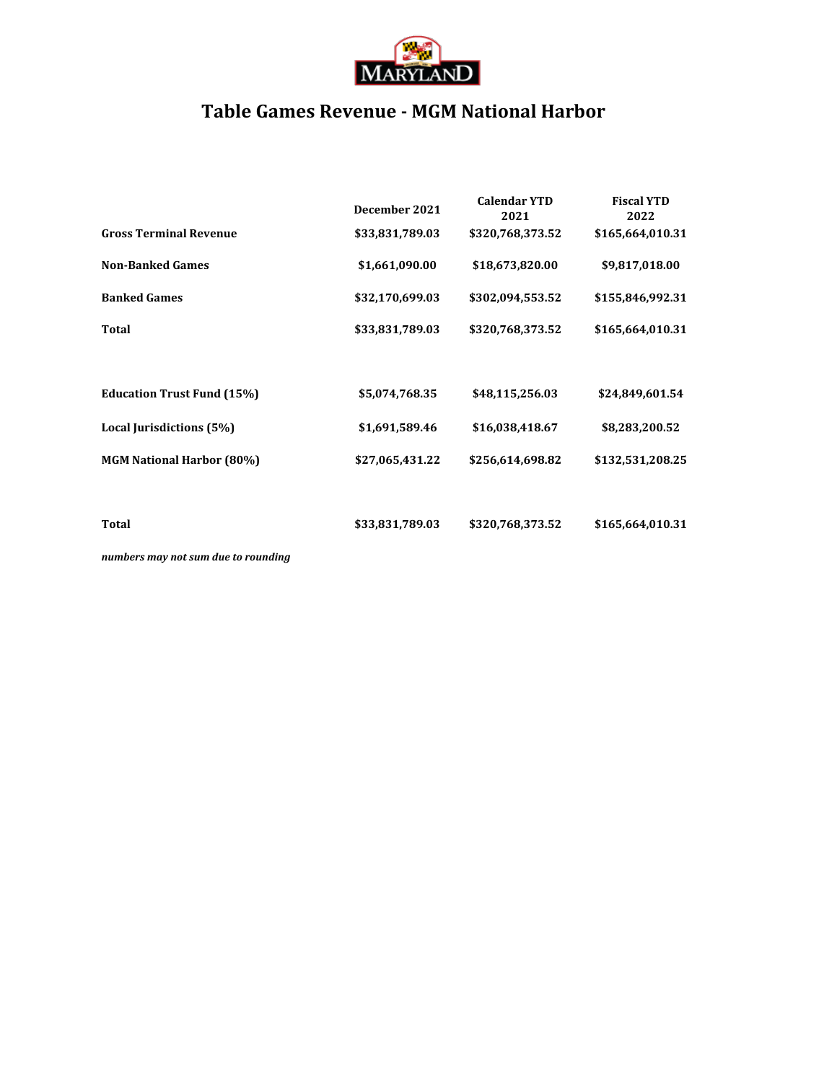

## **Table Games Revenue - MGM National Harbor**

|                                   | December 2021   | <b>Calendar YTD</b><br>2021 | <b>Fiscal YTD</b><br>2022 |
|-----------------------------------|-----------------|-----------------------------|---------------------------|
| <b>Gross Terminal Revenue</b>     | \$33,831,789.03 | \$320,768,373.52            | \$165,664,010.31          |
| <b>Non-Banked Games</b>           | \$1,661,090.00  | \$18,673,820.00             | \$9,817,018.00            |
| <b>Banked Games</b>               | \$32,170,699.03 | \$302,094,553.52            | \$155,846,992.31          |
| <b>Total</b>                      | \$33,831,789.03 | \$320,768,373.52            | \$165,664,010.31          |
|                                   |                 |                             |                           |
| <b>Education Trust Fund (15%)</b> | \$5,074,768.35  | \$48,115,256.03             | \$24,849,601.54           |
| Local Jurisdictions (5%)          | \$1,691,589.46  | \$16,038,418.67             | \$8,283,200.52            |
| <b>MGM National Harbor (80%)</b>  | \$27,065,431.22 | \$256,614,698.82            | \$132,531,208.25          |
|                                   |                 |                             |                           |
| Total                             | \$33,831,789.03 | \$320,768,373.52            | \$165,664,010.31          |
|                                   |                 |                             |                           |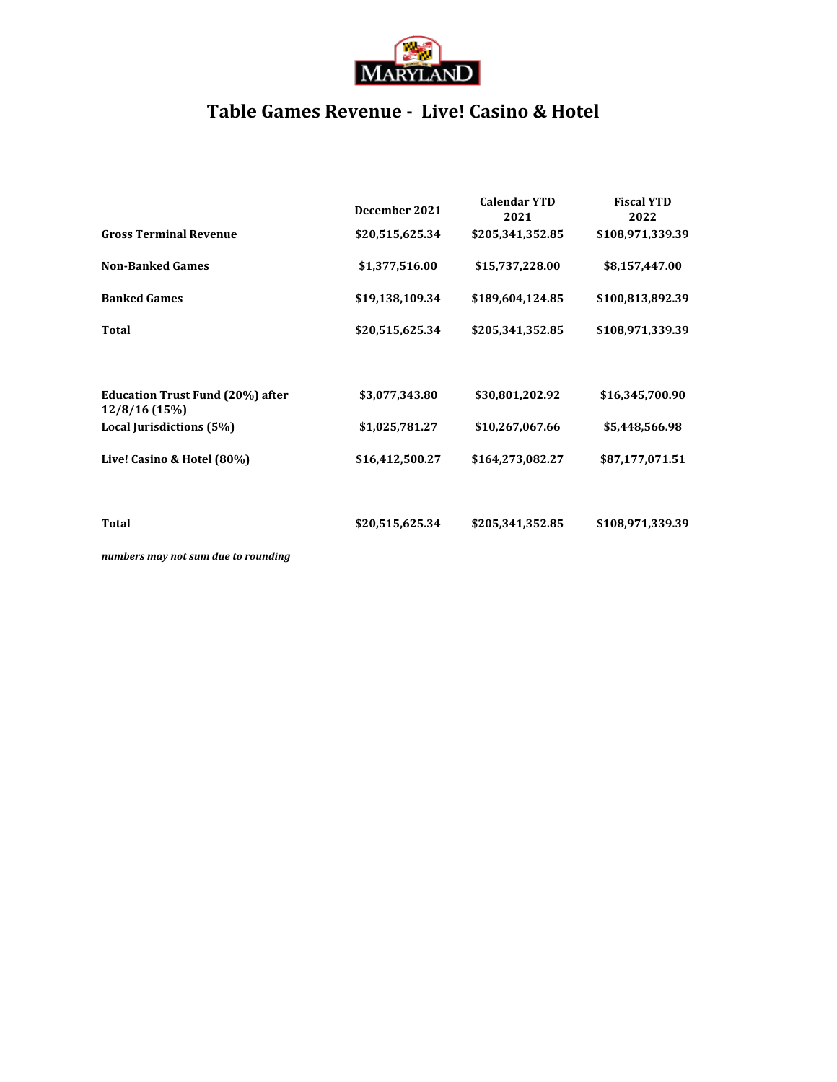

## **Table Games Revenue - Live! Casino & Hotel**

|                                           | December 2021   | <b>Calendar YTD</b><br>2021 | <b>Fiscal YTD</b><br>2022 |
|-------------------------------------------|-----------------|-----------------------------|---------------------------|
| <b>Gross Terminal Revenue</b>             | \$20,515,625.34 | \$205,341,352.85            | \$108,971,339.39          |
| <b>Non-Banked Games</b>                   | \$1,377,516.00  | \$15,737,228.00             | \$8,157,447.00            |
| <b>Banked Games</b>                       | \$19,138,109.34 | \$189,604,124.85            | \$100,813,892.39          |
| <b>Total</b>                              | \$20,515,625.34 | \$205,341,352.85            | \$108,971,339.39          |
| <b>Education Trust Fund (20%) after</b>   | \$3,077,343.80  | \$30,801,202.92             | \$16,345,700.90           |
| 12/8/16 (15%)<br>Local Jurisdictions (5%) | \$1,025,781.27  | \$10,267,067.66             | \$5,448,566.98            |
| Live! Casino & Hotel (80%)                | \$16,412,500.27 | \$164,273,082.27            | \$87,177,071.51           |
|                                           |                 |                             |                           |
| <b>Total</b>                              | \$20,515,625.34 | \$205,341,352.85            | \$108,971,339.39          |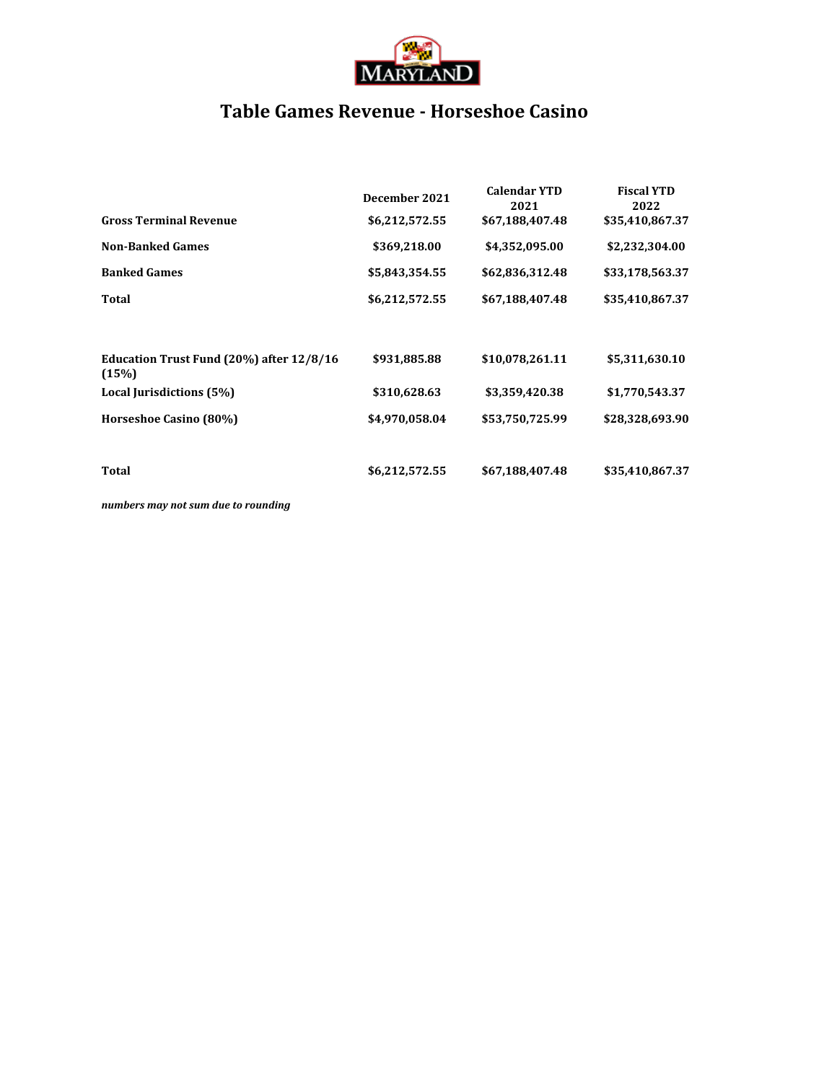

## **Table Games Revenue - Horseshoe Casino**

|                                                   | December 2021  | <b>Calendar YTD</b><br>2021 | <b>Fiscal YTD</b><br>2022 |
|---------------------------------------------------|----------------|-----------------------------|---------------------------|
| <b>Gross Terminal Revenue</b>                     | \$6,212,572.55 | \$67,188,407.48             | \$35,410,867.37           |
| <b>Non-Banked Games</b>                           | \$369,218.00   | \$4,352,095.00              | \$2,232,304.00            |
| <b>Banked Games</b>                               | \$5,843,354.55 | \$62,836,312.48             | \$33,178,563.37           |
| Total                                             | \$6,212,572.55 | \$67,188,407.48             | \$35,410,867.37           |
|                                                   |                |                             |                           |
| Education Trust Fund (20%) after 12/8/16<br>(15%) | \$931,885.88   | \$10,078,261.11             | \$5,311,630.10            |
| Local Jurisdictions (5%)                          | \$310,628.63   | \$3,359,420.38              | \$1,770,543.37            |
| Horseshoe Casino (80%)                            | \$4,970,058.04 | \$53,750,725.99             | \$28,328,693.90           |
|                                                   |                |                             |                           |
| Total                                             | \$6,212,572.55 | \$67,188,407.48             | \$35,410,867.37           |
|                                                   |                |                             |                           |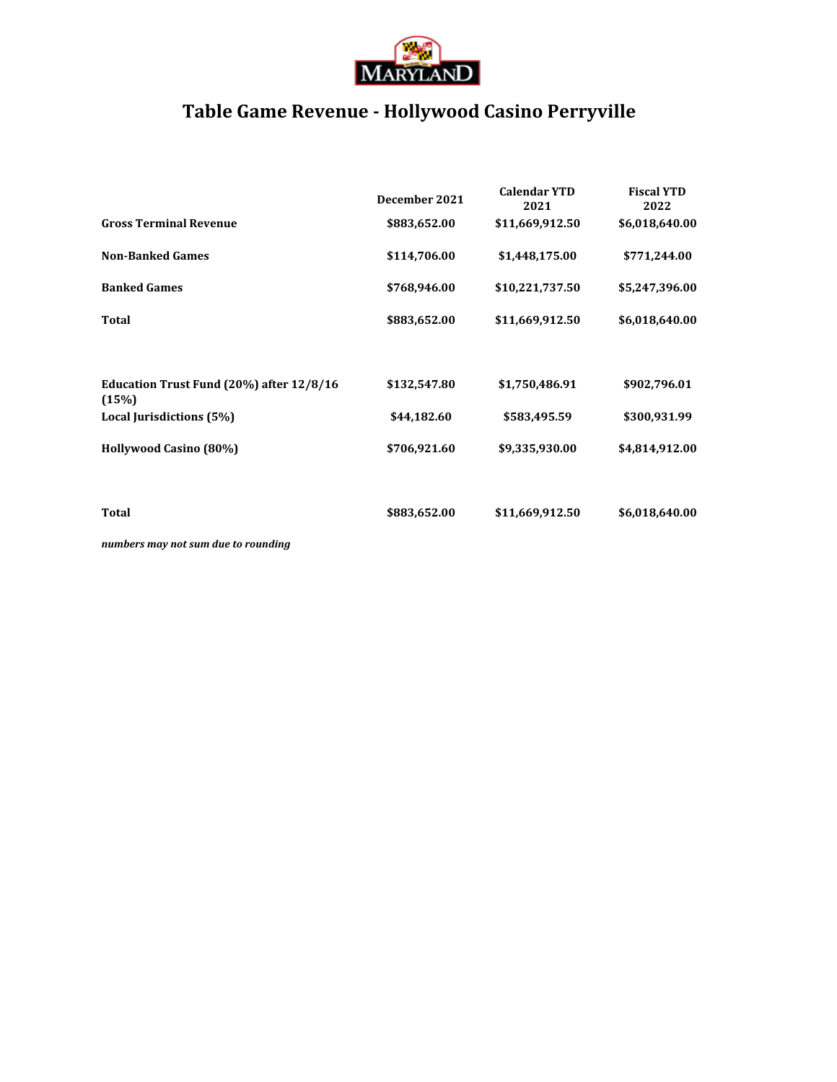

# **Table Game Revenue - Hollywood Casino Perryville**

|                                                   | December 2021 | <b>Calendar YTD</b><br>2021 | <b>Fiscal YTD</b><br>2022 |
|---------------------------------------------------|---------------|-----------------------------|---------------------------|
| <b>Gross Terminal Revenue</b>                     | \$883,652.00  | \$11,669,912.50             | \$6,018,640.00            |
| <b>Non-Banked Games</b>                           | \$114,706.00  | \$1,448,175.00              | \$771,244.00              |
| <b>Banked Games</b>                               | \$768,946.00  | \$10,221,737.50             | \$5,247,396.00            |
| <b>Total</b>                                      | \$883,652.00  | \$11,669,912.50             | \$6,018,640.00            |
|                                                   |               |                             |                           |
| Education Trust Fund (20%) after 12/8/16<br>(15%) | \$132,547.80  | \$1,750,486.91              | \$902,796.01              |
| Local Jurisdictions (5%)                          | \$44,182.60   | \$583,495.59                | \$300,931.99              |
| Hollywood Casino (80%)                            | \$706,921.60  | \$9,335,930.00              | \$4,814,912.00            |
|                                                   |               |                             |                           |
| Total                                             | \$883,652.00  | \$11,669,912.50             | \$6,018,640.00            |
|                                                   |               |                             |                           |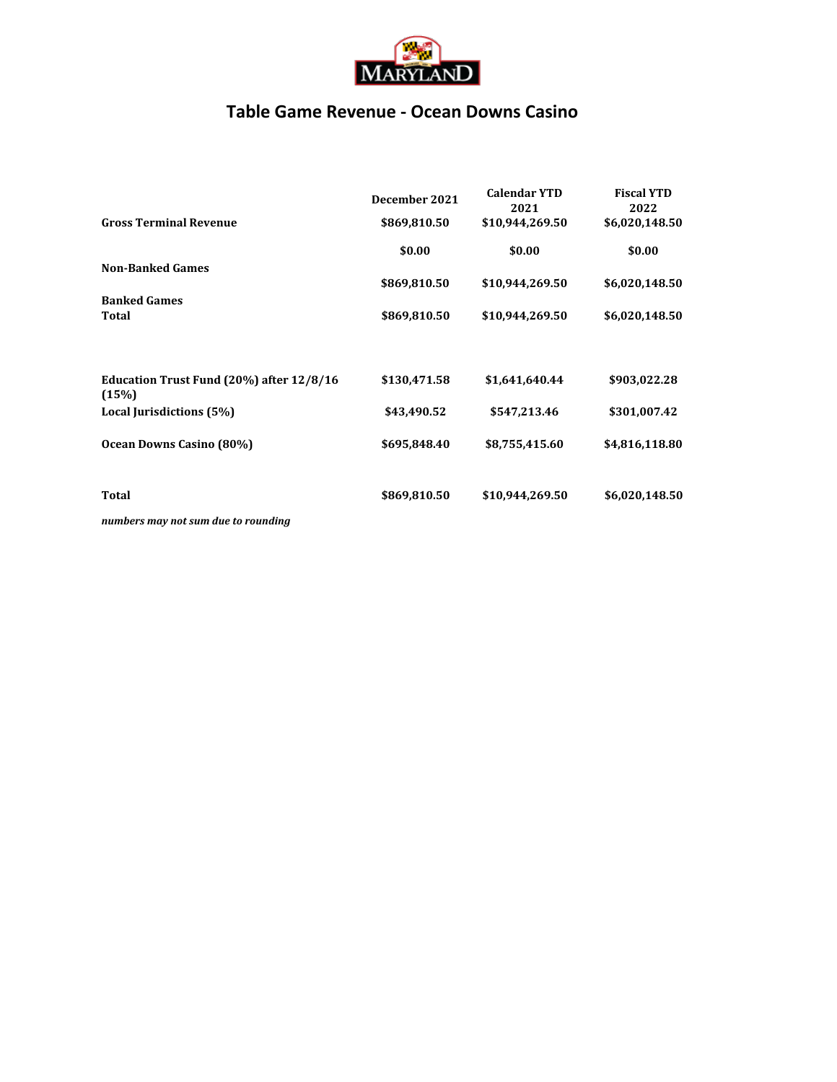

### **Table Game Revenue - Ocean Downs Casino**

|                                                   | December 2021 | <b>Calendar YTD</b><br>2021 | <b>Fiscal YTD</b><br>2022 |
|---------------------------------------------------|---------------|-----------------------------|---------------------------|
| <b>Gross Terminal Revenue</b>                     | \$869,810.50  | \$10,944,269.50             | \$6,020,148.50            |
|                                                   | \$0.00        | \$0.00                      | \$0.00                    |
| <b>Non-Banked Games</b>                           |               |                             |                           |
|                                                   | \$869,810.50  | \$10,944,269.50             | \$6,020,148.50            |
| <b>Banked Games</b>                               |               |                             |                           |
| Total                                             | \$869,810.50  | \$10,944,269.50             | \$6,020,148.50            |
| Education Trust Fund (20%) after 12/8/16<br>(15%) | \$130,471.58  | \$1,641,640.44              | \$903,022.28              |
| Local Jurisdictions (5%)                          | \$43,490.52   | \$547,213.46                | \$301,007.42              |
| Ocean Downs Casino (80%)                          | \$695,848.40  | \$8,755,415.60              | \$4,816,118.80            |
| Total                                             | \$869,810.50  | \$10,944,269.50             | \$6,020,148.50            |